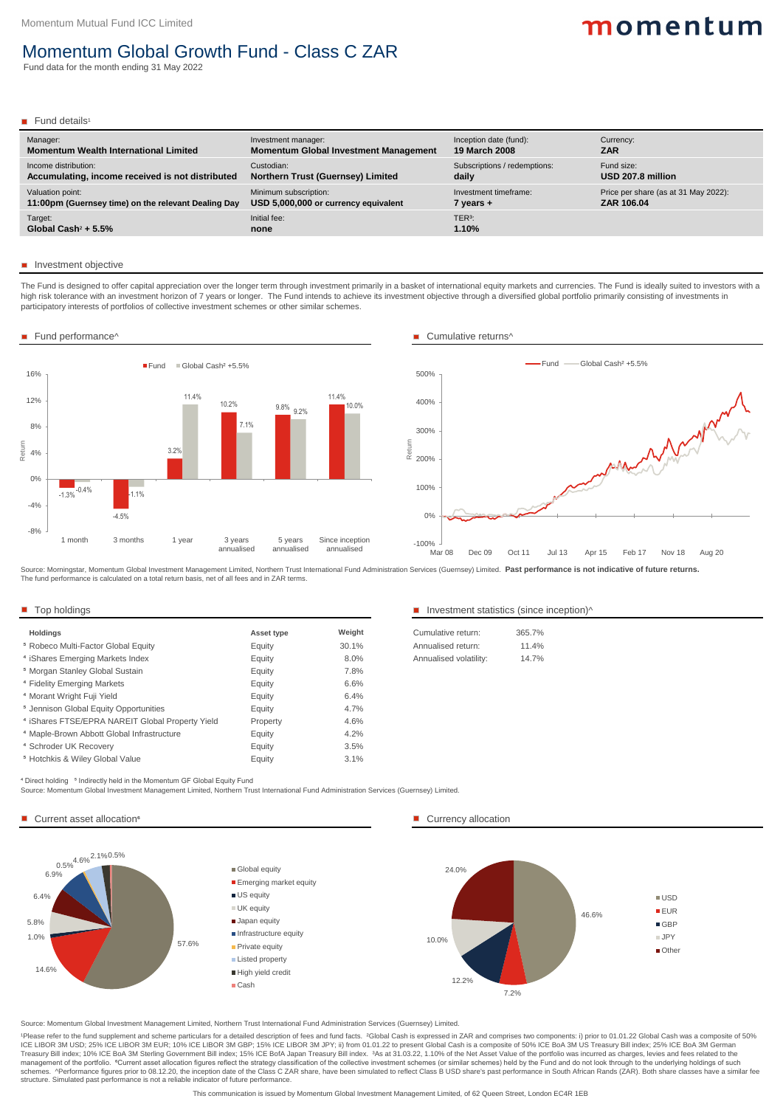Source: Momentum Global Investment Management Limited, Northern Trust International Fund Administration Services (Guernsey) Limited.

1Please refer to the fund supplement and scheme particulars for a detailed description of fees and fund facts. <sup>2</sup>Global Cash is expressed in ZAR and comprises two components: i) prior to 01.01.22 Global Cash was a composi ICE LIBOR 3M USD; 25% ICE LIBOR 3M EUR; 10% ICE LIBOR 3M GBP; 15% ICE LIBOR 3M JPY; ii) from 01.01.22 to present Global Cash is a composite of 50% ICE BoA 3M US Treasury Bill index; 25% ICE BoA 3M German Treasury Bill index; 10% ICE BoA 3M Sterling Government Bill index; 15% ICE BofA Japan Treasury Bill index. 3As at 31.03.22, 1.10% of the Net Asset Value of the portfolio was incurred as charges, levies and fees related to management of the portfolio. <sup>6</sup>Current asset allocation figures reflect the strategy classification of the collective investment schemes (or similar schemes) held by the Fund and do not look through to the underlying hold schemes. ^Performance figures prior to 08.12.20, the inception date of the Class C ZAR share, have been simulated to reflect Class B USD share's past performance in South African Rands (ZAR). Both share classes have a simi structure. Simulated past performance is not a reliable indicator of future performance.

This communication is issued by Momentum Global Investment Management Limited, of 62 Queen Street, London EC4R 1EB

The Fund is designed to offer capital appreciation over the longer term through investment primarily in a basket of international equity markets and currencies. The Fund is ideally suited to investors with a high risk tolerance with an investment horizon of 7 years or longer. The Fund intends to achieve its investment objective through a diversified global portfolio primarily consisting of investments in participatory interests of portfolios of collective investment schemes or other similar schemes.

| Manager:                                            | Investment manager:                          | Inception date (fund):       | Currency:                            |
|-----------------------------------------------------|----------------------------------------------|------------------------------|--------------------------------------|
| <b>Momentum Wealth International Limited</b>        | <b>Momentum Global Investment Management</b> | <b>19 March 2008</b>         | <b>ZAR</b>                           |
| Income distribution:                                | Custodian:                                   | Subscriptions / redemptions: | Fund size:                           |
| Accumulating, income received is not distributed    | <b>Northern Trust (Guernsey) Limited</b>     | daily                        | USD 207.8 million                    |
| Valuation point:                                    | Minimum subscription:                        | Investment timeframe:        | Price per share (as at 31 May 2022): |
| 11:00pm (Guernsey time) on the relevant Dealing Day | USD 5,000,000 or currency equivalent         | 7 years +                    | ZAR 106.04                           |
| Target:                                             | Initial fee:                                 | TER <sup>3</sup> :           |                                      |
| Global Cash <sup>2</sup> + $5.5\%$                  | none                                         | 1.10%                        |                                      |

#### **Investment objective**

| <b>Asset type</b> | Weight | Cumulative return:     | 365.7% |
|-------------------|--------|------------------------|--------|
| Equity            | 30.1%  | Annualised return:     | 11.4%  |
| Equity            | 8.0%   | Annualised volatility: | 14.7%  |
| Equity            | 7.8%   |                        |        |
| Equity            | 6.6%   |                        |        |
| Equity            | 6.4%   |                        |        |
| Equity            | 4.7%   |                        |        |
| Property          | 4.6%   |                        |        |
| Equity            | 4.2%   |                        |        |
| Equity            | 3.5%   |                        |        |
| Equity            | 3.1%   |                        |        |
|                   |        |                        |        |

#### Top holdings Top holdings Top holdings Investment statistics (since inception)^

| Cumulative return:     | 365.7%   |
|------------------------|----------|
| Annualised return:     | $11.4\%$ |
| Annualised volatility: | 14.7%    |
|                        |          |

<sup>4</sup> Direct holding <sup>5</sup> Indirectly held in the Momentum GF Global Equity Fund

Source: Morningstar, Momentum Global Investment Management Limited, Northern Trust International Fund Administration Services (Guernsey) Limited. **Past performance is not indicative of future returns.** The fund performance is calculated on a total return basis, net of all fees and in ZAR terms.

Source: Momentum Global Investment Management Limited, Northern Trust International Fund Administration Services (Guernsey) Limited.

#### Current asset allocation<sup>6</sup> and the currency allocation and the currency allocation

# momentum

## Momentum Global Growth Fund - Class C ZAR

Fund data for the month ending 31 May 2022

#### Fund details<sup>1</sup>





#### ■ Fund performance^ Cumulative returns<sup>^</sup>